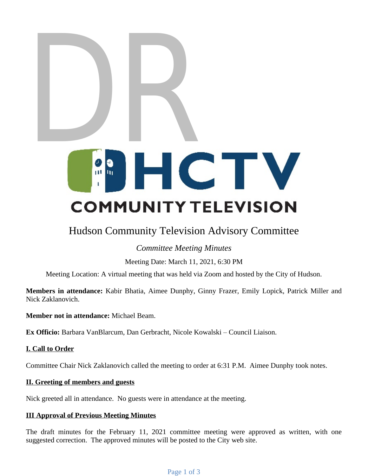# DR<br>Maria

# Hudson Community Television Advisory Committee

## *Committee Meeting Minutes*

Meeting Date: March 11, 2021, 6:30 PM

Meeting Location: A virtual meeting that was held via Zoom and hosted by the City of Hudson.

AFT **Members in attendance:** Kabir Bhatia, Aimee Dunphy, Ginny Frazer, Emily Lopick, Patrick Miller and Nick Zaklanovich.

**Member not in attendance:** Michael Beam.

**Ex Officio:** Barbara VanBlarcum, Dan Gerbracht, Nicole Kowalski – Council Liaison.

### **I. Call to Order**

Committee Chair Nick Zaklanovich called the meeting to order at 6:31 P.M. Aimee Dunphy took notes.

### **II. Greeting of members and guests**

Nick greeted all in attendance. No guests were in attendance at the meeting.

### **III Approval of Previous Meeting Minutes**

The draft minutes for the February 11, 2021 committee meeting were approved as written, with one suggested correction. The approved minutes will be posted to the City web site.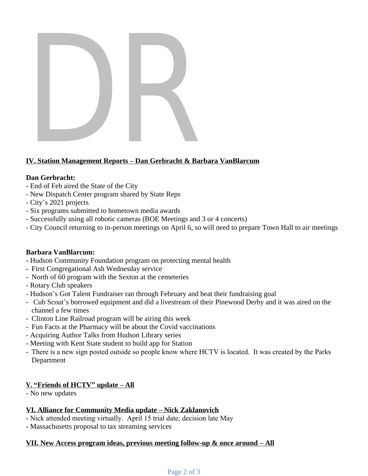

### **IV. Station Management Reports – Dan Gerbracht & Barbara VanBlarcum**

### **Dan Gerbracht:**

- End of Feb aired the State of the City
- New Dispatch Center program shared by State Reps
- City's 2021 projects
- Six programs submitted to hometown media awards
- Successfully using all robotic cameras (BOE Meetings and 3 or 4 concerts)
- City Council returning to in-person meetings on April 6, so will need to prepare Town Hall to air meetings

### **Barbara VanBlarcum:**

- Hudson Community Foundation program on protecting mental health
- First Congregational Ash Wednesday service
- North of 60 program with the Sexton at the cemeteries
- Rotary Club speakers
- Hudson's Got Talent Fundraiser ran through February and beat their fundraising goal
- Successfully using all robotic cameras (BOE Meetings and 3 or 4 concerts)<br>- Successfully using all robotic cameras (BOE Meetings and 3 or 4 concerts)<br>- City Council returning to in-person meetings on April 6, so will nee - Cub Scout's borrowed equipment and did a livestream of their Pinewood Derby and it was aired on the channel a few times
- Clinton Line Railroad program will be airing this week
- Fun Facts at the Pharmacy will be about the Covid vaccinations
- Acquiring Author Talks from Hudson Library series
- Meeting with Kent State student to build app for Station
- There is a new sign posted outside so people know where HCTV is located. It was created by the Parks Department

### **V. "Friends of HCTV" update – All**

- No new updates

### **VI. Alliance for Community Media update – Nick Zaklanovich**

- Nick attended meeting virtually. April 15 trial date; decision late May
- Massachusetts proposal to tax streaming services

### **VII. New Access program ideas, previous meeting follow-up & once around – All**